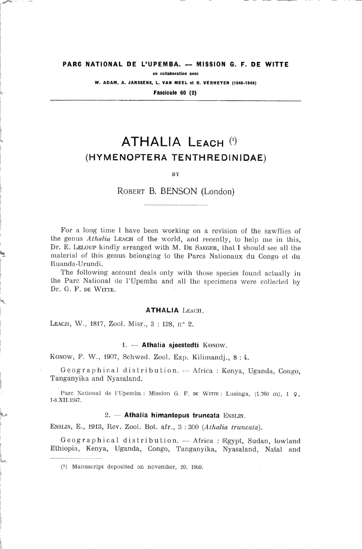#### PARC NATIONAL DE L'UPEMBA. — MISSION G. F. DE WITTE

en collaboration avec

W. ADAM, A. JANSSENS, L. VAN MEEL et R. VERHEYEN (1946-1949)

Fascicule 60 (2)

# ATHALIA Leach « (hymenoptera tenthredinidae)

BY

Robert B. BENSON (London)

For <sup>a</sup> long time <sup>1</sup> have been working on <sup>a</sup> revision of the sawflies of the genus *Athalia* Leach of the world, and recently, to help me in this, Dr. E. LELOUP kindly arranged with M. DE SAEGER, that I should see all the material of this genus beionging to the Parcs Nationaux du Congo et du Ruanda-Urundi.

The following account deals only with those species found actually in the Parc National de l'Upemba and ail the specimens were collected by Dr. G. F. DE WITTE.

#### ATHALIA Leach.

LEACH, W., 1817, Zool. Misr., 3:128, nº 2.

#### 1. — Athalia sjoestedti Konow.

Konow, F. W., 1907, Schwed. Zoot. Exp. Kilimandj., <sup>8</sup> : 4.

Geographical distribution. -- Africa : Kenya, Uganda, Congo, Tanganyika and Nyasaland.

Parc National de l'Upemba: Mission G. F. DE WITTE: Lusinga, (1.760 m), 1 9, 1-8.XII.1947.

## $2. -$  Athalia himantopus truncata ENSLIN.

Enslin, E., 1913, Rev. Zool. Bot. afr., <sup>3</sup> : <sup>300</sup> (Athalia truncata).

Geographical distribution. — Africa : Egypt, Sudan, lowland Ethiopia, Kenya, Uganda, Congo, Tanganyika, Nyasaland, Natal and

(0 Manuscript deposited on november, 20. 1959.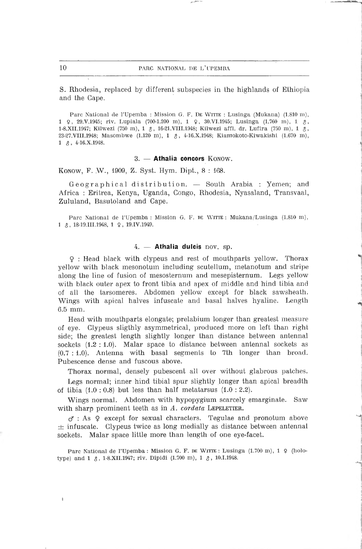S. Rhodesia, replaced by different subspecies in the highlands of Ethiopie and the Cape.

Parc National de l'Upemba : Mission G. F. De WITTE : Lusinga (Mukana) (1.810 m), <sup>1</sup> Ç, 29.V.1945; riv. Lupiala (700-1.200 m), <sup>1</sup> Ç, 30.VI.1945; Lusinga (1.700 m), <sup>1</sup> &, 1-8.XII.1947; Kilwezl (750 m), <sup>1</sup> \$, 16-21.VIII.1948; Kilwezi affl. dr. Lufira (750 m), <sup>1</sup> \$, 23-27.VIII.1948; Masombwe (1.120 m), 1  $\delta$ , 4-16.X.1948; Kiamokoto-Kiwakishi (1.670 m),  $1 \quad \text{\AA}$ , 4-16.X.1948.

## 3. — Athalia concors Konow.

Konow, F. W., 1909, Z. Syst. Hym. Dipt., 8:168.

Geographical distribution. — South Arabia : Yemen; and Africa : Eritrea, Kenya, Uganda, Congo, Rhodesia, Nyasaland, Transvaal, Zululand, Basutoland and Cape.

Parc National de l'Upemba : Mission G. F. DE WITTE : Mukana/Lusinga (1.810 m), 1  $\beta$ , 18-19.III.1948, 1  $\varphi$ , 19.IV.1949.

#### 4. - Athalia dulcis nov. sp.

<sup>Ç</sup> : Head black with elypeus and rest of mouthparts yellow. Thorax yellow with black mesonotum including scutellum, metanotum and stripe along the line of fusion of mesosternum and mesepisternum. Legs yellow with black outer apex to front tibia and apex of middle and hind tibia and of alt the tarsomeres. Abdomen yellow except for black sawsheath. Wings with apical halves infuscate and basai halves hyaline. Length 6.5 mm.

Head with mouthparts elongate; prelabium longer than greatest measure of eye. Clypeus sligthly asymmetrical, produced more on left than right side; the greatest length slightly longer than distance between antennal sockets  $(1.2:1.0)$ . Malar space to distance between antennal sockets as (0.7 ; 1.0). Antenna with basai segments to 7th longer than broad. Pubescence dense and fuscous above.

Thorax normal, densely pubescent ail over without glabrous patches.

Legs normal; inner hind tibial spur slightly longer than apical breadth of tibia  $(1.0:0.8)$  but less than half metatarsus  $(1.0:2.2)$ .

Wings normal. Abdomen with hypopygium scarcely emarginate. Saw with sharp prominent teeth as in  $A$ . cordata LEPELETIER.

 $\sigma$ : As  $\varphi$  except for sexual characters. Tegulae and pronotum above  $\pm$  infuscate. Clypeus twice as long medially as distance between antennal sockets. Malar space little more than length of one eye-facet.

Parc National de l'Upemba : Mission G. F. DE WITTE : Lusinga (1.700 m), 1 ♀ (holotype) and 1  $\delta$ , 1-8.XII.1947; riv. Dipidi (1.700 m), 1  $\delta$ , 10.I.1948.

٠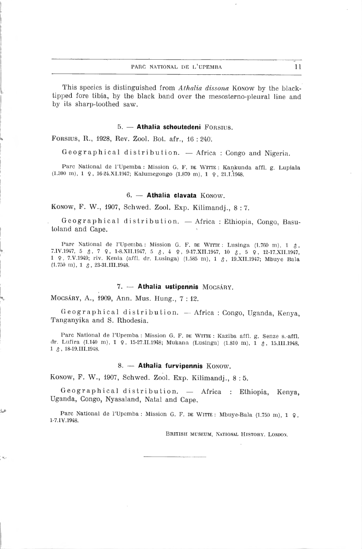11

This species is distinguished from Athalia dissona Konow by the blacktipped fore tibia, by the black band over the mesosterno-pleural line and by its sharp-toothed saw.

## 5. — Athalia schoutedeni Forsius.

FORSIUS, R., 1928, Rev. Zool. Bot. afr., 16:240.

Géographie al distribution. — Africa : Congo and Nigeria.

Parc National de l'Upemba : Mission G. F. DE WITTE : Kankunda affl. g. Lupiala (1.300 ni), <sup>1</sup> 9, 16-24.XI.1947; Kalumegongo (1.870 m), <sup>1</sup> <sup>9</sup> , 21.1.1948.

## 6. — Athalia clavata Konow.

Konow, F. W., 1907, Schwed. Zool. Exp. Kilimandj., <sup>8</sup> : 7.

Geographical distribution. —Africa : Ethiopia, Congo, Basutoland and Cape.

Parc National de l'Upemba : Mission G. F. DE WITTE : Lusinga (1.760 m),  $1 \text{ } \text{\textdegree}$ , 7.IV.1947, 5  $\delta$ , 7  $\epsilon$ , 1-8.XII.1947, 5  $\delta$ , 4  $\epsilon$ , 9-17.XII.1947, 10  $\delta$ , 5  $\epsilon$ , 12-17.XII.1947, <sup>1</sup> <sup>9</sup> 7.V. 1949; riv. Kenia (affl. dr. Lusinga) (1.585 m), <sup>1</sup> 3, 19.XII.1947; Mbuye Bala  $(1.750 \text{ m}), 1 \text{ } \text{\&}, 23-31.111.1948.$ 

#### 7. — Athalia ustipennis Mocsâry.

Mocsâry, A., 1909, Ann. Mus. Hung., <sup>7</sup> : 12.

U

Geographical distribution. —Africa : Congo, Uganda, Kenya, Tanganyika and S. Rhodesia.

Parc National de l'Upemba : Mission G. F. de WITTE : Kaziba affl. g. Senze s.-affl. dr. Lufira (1.140 m), 1  $\varphi$ , 15-27.II.1948; Mukana (Lusinga) (1.810 m), 1  $\varphi$ , 15.III.1948, 1  $\delta$ , 18-19.III.1948.

#### 8. - Athalia furvipennis Konow.

Konow, F. W., 1907, Schwed. Zool. Exp. Kilimandj., <sup>8</sup> : 5.

Geographical distribution. — Africa : Ethiopia, Kenya, Uganda, Congo, Nyasaland, Natal and Cape.

Parc National de l'Upemba: Mission G. F. DE WITTE: Mbuye-Bala (1.750 m),  $1 \, \varphi$ , 1-7.IV.1948.

british museum, national history. london.